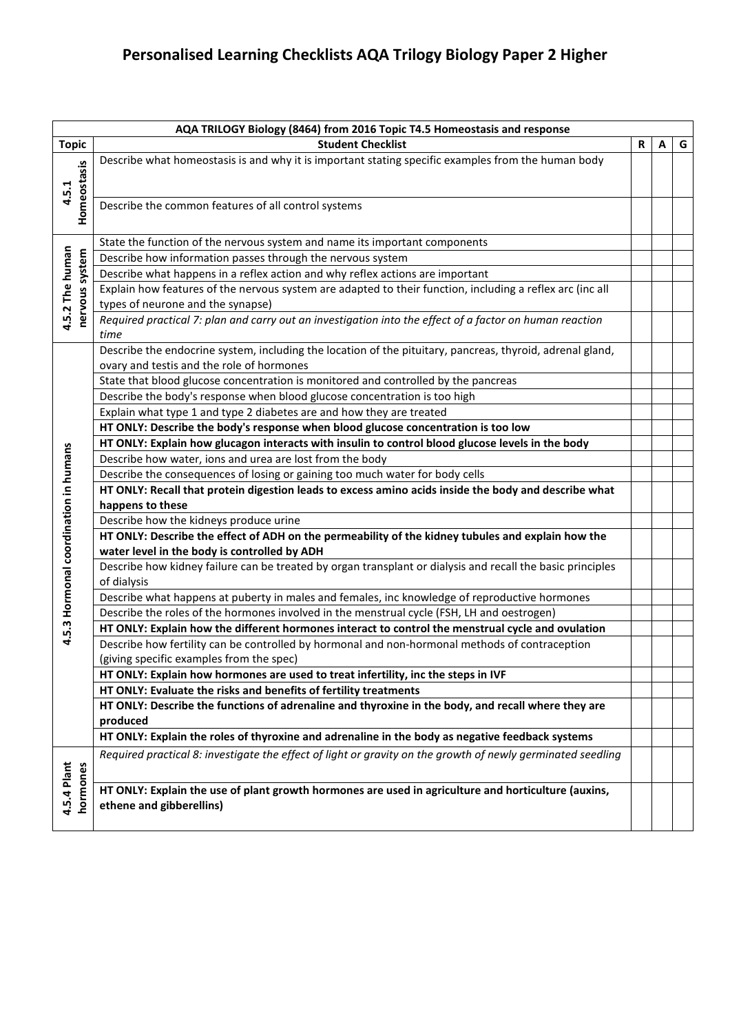## **Personalised Learning Checklists AQA Trilogy Biology Paper 2 Higher**

|                                       | AQA TRILOGY Biology (8464) from 2016 Topic T4.5 Homeostasis and response                                                                                                              |   |   |   |
|---------------------------------------|---------------------------------------------------------------------------------------------------------------------------------------------------------------------------------------|---|---|---|
| <b>Topic</b>                          | <b>Student Checklist</b>                                                                                                                                                              | R | А | G |
| Homeostasis                           | Describe what homeostasis is and why it is important stating specific examples from the human body                                                                                    |   |   |   |
|                                       |                                                                                                                                                                                       |   |   |   |
| 4.5.1                                 |                                                                                                                                                                                       |   |   |   |
|                                       | Describe the common features of all control systems                                                                                                                                   |   |   |   |
|                                       |                                                                                                                                                                                       |   |   |   |
|                                       | State the function of the nervous system and name its important components                                                                                                            |   |   |   |
| 4.5.2 The human<br>nervous system     | Describe how information passes through the nervous system                                                                                                                            |   |   |   |
|                                       | Describe what happens in a reflex action and why reflex actions are important                                                                                                         |   |   |   |
|                                       | Explain how features of the nervous system are adapted to their function, including a reflex arc (inc all                                                                             |   |   |   |
|                                       | types of neurone and the synapse)                                                                                                                                                     |   |   |   |
|                                       | Required practical 7: plan and carry out an investigation into the effect of a factor on human reaction                                                                               |   |   |   |
|                                       | time                                                                                                                                                                                  |   |   |   |
|                                       | Describe the endocrine system, including the location of the pituitary, pancreas, thyroid, adrenal gland,                                                                             |   |   |   |
|                                       | ovary and testis and the role of hormones                                                                                                                                             |   |   |   |
|                                       | State that blood glucose concentration is monitored and controlled by the pancreas                                                                                                    |   |   |   |
|                                       | Describe the body's response when blood glucose concentration is too high                                                                                                             |   |   |   |
|                                       | Explain what type 1 and type 2 diabetes are and how they are treated                                                                                                                  |   |   |   |
|                                       | HT ONLY: Describe the body's response when blood glucose concentration is too low<br>HT ONLY: Explain how glucagon interacts with insulin to control blood glucose levels in the body |   |   |   |
|                                       | Describe how water, ions and urea are lost from the body                                                                                                                              |   |   |   |
|                                       | Describe the consequences of losing or gaining too much water for body cells                                                                                                          |   |   |   |
|                                       | HT ONLY: Recall that protein digestion leads to excess amino acids inside the body and describe what                                                                                  |   |   |   |
|                                       | happens to these                                                                                                                                                                      |   |   |   |
|                                       | Describe how the kidneys produce urine                                                                                                                                                |   |   |   |
|                                       | HT ONLY: Describe the effect of ADH on the permeability of the kidney tubules and explain how the                                                                                     |   |   |   |
| 4.5.3 Hormonal coordination in humans | water level in the body is controlled by ADH                                                                                                                                          |   |   |   |
|                                       | Describe how kidney failure can be treated by organ transplant or dialysis and recall the basic principles                                                                            |   |   |   |
|                                       | of dialysis                                                                                                                                                                           |   |   |   |
|                                       | Describe what happens at puberty in males and females, inc knowledge of reproductive hormones                                                                                         |   |   |   |
|                                       | Describe the roles of the hormones involved in the menstrual cycle (FSH, LH and oestrogen)                                                                                            |   |   |   |
|                                       | HT ONLY: Explain how the different hormones interact to control the menstrual cycle and ovulation                                                                                     |   |   |   |
|                                       | Describe how fertility can be controlled by hormonal and non-hormonal methods of contraception                                                                                        |   |   |   |
|                                       | (giving specific examples from the spec)                                                                                                                                              |   |   |   |
|                                       | HT ONLY: Explain how hormones are used to treat infertility, inc the steps in IVF                                                                                                     |   |   |   |
|                                       | HT ONLY: Evaluate the risks and benefits of fertility treatments                                                                                                                      |   |   |   |
|                                       | HT ONLY: Describe the functions of adrenaline and thyroxine in the body, and recall where they are                                                                                    |   |   |   |
|                                       | produced                                                                                                                                                                              |   |   |   |
|                                       | HT ONLY: Explain the roles of thyroxine and adrenaline in the body as negative feedback systems                                                                                       |   |   |   |
|                                       | Required practical 8: investigate the effect of light or gravity on the growth of newly germinated seedling                                                                           |   |   |   |
|                                       |                                                                                                                                                                                       |   |   |   |
| 4.5.4 Plant<br>hormones               | HT ONLY: Explain the use of plant growth hormones are used in agriculture and horticulture (auxins,                                                                                   |   |   |   |
|                                       | ethene and gibberellins)                                                                                                                                                              |   |   |   |
|                                       |                                                                                                                                                                                       |   |   |   |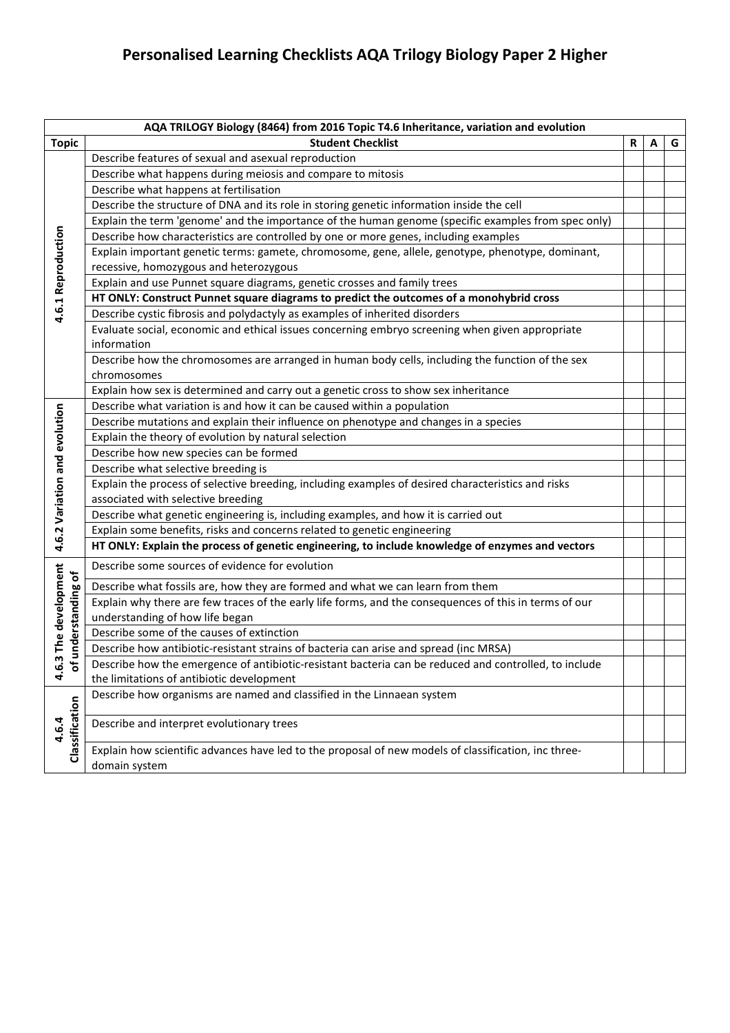## **Personalised Learning Checklists AQA Trilogy Biology Paper 2 Higher**

|                               | AQA TRILOGY Biology (8464) from 2016 Topic T4.6 Inheritance, variation and evolution                   |   |   |   |
|-------------------------------|--------------------------------------------------------------------------------------------------------|---|---|---|
| <b>Topic</b>                  | <b>Student Checklist</b>                                                                               | R | A | G |
|                               | Describe features of sexual and asexual reproduction                                                   |   |   |   |
|                               | Describe what happens during meiosis and compare to mitosis                                            |   |   |   |
|                               | Describe what happens at fertilisation                                                                 |   |   |   |
|                               | Describe the structure of DNA and its role in storing genetic information inside the cell              |   |   |   |
|                               | Explain the term 'genome' and the importance of the human genome (specific examples from spec only)    |   |   |   |
|                               | Describe how characteristics are controlled by one or more genes, including examples                   |   |   |   |
|                               | Explain important genetic terms: gamete, chromosome, gene, allele, genotype, phenotype, dominant,      |   |   |   |
|                               | recessive, homozygous and heterozygous                                                                 |   |   |   |
|                               | Explain and use Punnet square diagrams, genetic crosses and family trees                               |   |   |   |
| 4.6.1 Reproduction            | HT ONLY: Construct Punnet square diagrams to predict the outcomes of a monohybrid cross                |   |   |   |
|                               | Describe cystic fibrosis and polydactyly as examples of inherited disorders                            |   |   |   |
|                               | Evaluate social, economic and ethical issues concerning embryo screening when given appropriate        |   |   |   |
|                               | information                                                                                            |   |   |   |
|                               | Describe how the chromosomes are arranged in human body cells, including the function of the sex       |   |   |   |
|                               | chromosomes                                                                                            |   |   |   |
|                               | Explain how sex is determined and carry out a genetic cross to show sex inheritance                    |   |   |   |
|                               | Describe what variation is and how it can be caused within a population                                |   |   |   |
|                               | Describe mutations and explain their influence on phenotype and changes in a species                   |   |   |   |
|                               | Explain the theory of evolution by natural selection                                                   |   |   |   |
|                               | Describe how new species can be formed                                                                 |   |   |   |
|                               | Describe what selective breeding is                                                                    |   |   |   |
|                               | Explain the process of selective breeding, including examples of desired characteristics and risks     |   |   |   |
|                               | associated with selective breeding                                                                     |   |   |   |
|                               | Describe what genetic engineering is, including examples, and how it is carried out                    |   |   |   |
| 4.6.2 Variation and evolution | Explain some benefits, risks and concerns related to genetic engineering                               |   |   |   |
|                               | HT ONLY: Explain the process of genetic engineering, to include knowledge of enzymes and vectors       |   |   |   |
| 4.6.3 The development         | Describe some sources of evidence for evolution                                                        |   |   |   |
| understanding of              | Describe what fossils are, how they are formed and what we can learn from them                         |   |   |   |
|                               | Explain why there are few traces of the early life forms, and the consequences of this in terms of our |   |   |   |
|                               | understanding of how life began                                                                        |   |   |   |
|                               | Describe some of the causes of extinction                                                              |   |   |   |
|                               | Describe how antibiotic-resistant strains of bacteria can arise and spread (inc MRSA)                  |   |   |   |
| Ⴆ                             | Describe how the emergence of antibiotic-resistant bacteria can be reduced and controlled, to include  |   |   |   |
|                               | the limitations of antibiotic development                                                              |   |   |   |
| Classification<br>4.6.4       | Describe how organisms are named and classified in the Linnaean system                                 |   |   |   |
|                               | Describe and interpret evolutionary trees                                                              |   |   |   |
|                               | Explain how scientific advances have led to the proposal of new models of classification, inc three-   |   |   |   |
|                               | domain system                                                                                          |   |   |   |